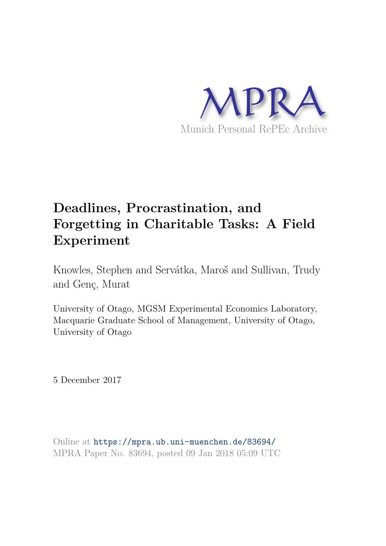

# **Deadlines, Procrastination, and Forgetting in Charitable Tasks: A Field Experiment**

Knowles, Stephen and Servátka, Maroš and Sullivan, Trudy and Genç, Murat

University of Otago, MGSM Experimental Economics Laboratory, Macquarie Graduate School of Management, University of Otago, University of Otago

5 December 2017

Online at https://mpra.ub.uni-muenchen.de/83694/ MPRA Paper No. 83694, posted 09 Jan 2018 05:09 UTC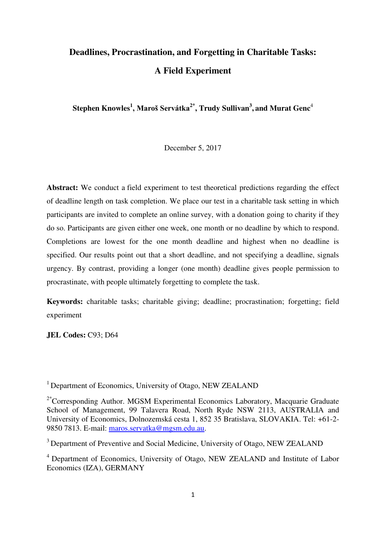## **Deadlines, Procrastination, and Forgetting in Charitable Tasks: A Field Experiment**

**Stephen Knowles<sup>1</sup> , Maroš Servátka2\*, Trudy Sullivan<sup>3</sup> , and Murat Genc**<sup>4</sup>

December 5, 2017

Abstract: We conduct a field experiment to test theoretical predictions regarding the effect of deadline length on task completion. We place our test in a charitable task setting in which participants are invited to complete an online survey, with a donation going to charity if they do so. Participants are given either one week, one month or no deadline by which to respond. Completions are lowest for the one month deadline and highest when no deadline is specified. Our results point out that a short deadline, and not specifying a deadline, signals urgency. By contrast, providing a longer (one month) deadline gives people permission to procrastinate, with people ultimately forgetting to complete the task.

**Keywords:** charitable tasks; charitable giving; deadline; procrastination; forgetting; field experiment

**JEL Codes:** C93; D64

<sup>1</sup> Department of Economics, University of Otago, NEW ZEALAND

<sup>3</sup> Department of Preventive and Social Medicine, University of Otago, NEW ZEALAND

 $2*$ Corresponding Author. MGSM Experimental Economics Laboratory, Macquarie Graduate School of Management, 99 Talavera Road, North Ryde NSW 2113, AUSTRALIA and University of Economics, Dolnozemská cesta 1, 852 35 Bratislava, SLOVAKIA. Tel: +61-2- 9850 7813. E-mail: [maros.servatka@mgsm.edu.au.](mailto:maros.servatka@mgsm.edu.au)

<sup>&</sup>lt;sup>4</sup> Department of Economics, University of Otago, NEW ZEALAND and Institute of Labor Economics (IZA), GERMANY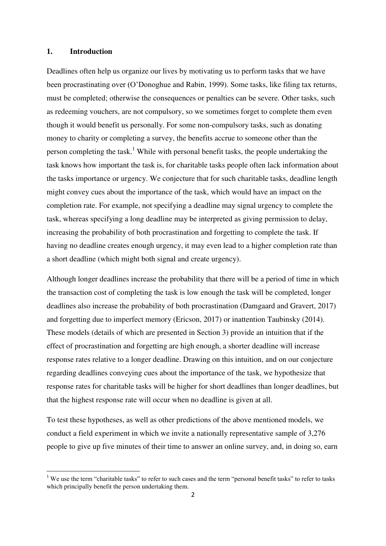## **1. Introduction**

 $\overline{a}$ 

Deadlines often help us organize our lives by motivating us to perform tasks that we have been procrastinating over (O'Donoghue and Rabin, 1999). Some tasks, like filing tax returns, must be completed; otherwise the consequences or penalties can be severe. Other tasks, such as redeeming vouchers, are not compulsory, so we sometimes forget to complete them even though it would benefit us personally. For some non-compulsory tasks, such as donating money to charity or completing a survey, the benefits accrue to someone other than the person completing the task.<sup>1</sup> While with personal benefit tasks, the people undertaking the task knows how important the task is, for charitable tasks people often lack information about the tasks importance or urgency. We conjecture that for such charitable tasks, deadline length might convey cues about the importance of the task, which would have an impact on the completion rate. For example, not specifying a deadline may signal urgency to complete the task, whereas specifying a long deadline may be interpreted as giving permission to delay, increasing the probability of both procrastination and forgetting to complete the task. If having no deadline creates enough urgency, it may even lead to a higher completion rate than a short deadline (which might both signal and create urgency).

Although longer deadlines increase the probability that there will be a period of time in which the transaction cost of completing the task is low enough the task will be completed, longer deadlines also increase the probability of both procrastination (Damgaard and Gravert, 2017) and forgetting due to imperfect memory (Ericson, 2017) or inattention Taubinsky (2014). These models (details of which are presented in Section 3) provide an intuition that if the effect of procrastination and forgetting are high enough, a shorter deadline will increase response rates relative to a longer deadline. Drawing on this intuition, and on our conjecture regarding deadlines conveying cues about the importance of the task, we hypothesize that response rates for charitable tasks will be higher for short deadlines than longer deadlines, but that the highest response rate will occur when no deadline is given at all.

To test these hypotheses, as well as other predictions of the above mentioned models, we conduct a field experiment in which we invite a nationally representative sample of 3,276 people to give up five minutes of their time to answer an online survey, and, in doing so, earn

<sup>&</sup>lt;sup>1</sup> We use the term "charitable tasks" to refer to such cases and the term "personal benefit tasks" to refer to tasks which principally benefit the person undertaking them.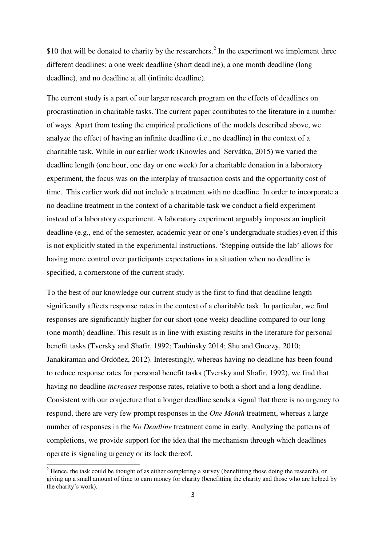\$10 that will be donated to charity by the researchers.<sup>2</sup> In the experiment we implement three different deadlines: a one week deadline (short deadline), a one month deadline (long deadline), and no deadline at all (infinite deadline).

The current study is a part of our larger research program on the effects of deadlines on procrastination in charitable tasks. The current paper contributes to the literature in a number of ways. Apart from testing the empirical predictions of the models described above, we analyze the effect of having an infinite deadline (i.e., no deadline) in the context of a charitable task. While in our earlier work (Knowles and Servátka, 2015) we varied the deadline length (one hour, one day or one week) for a charitable donation in a laboratory experiment, the focus was on the interplay of transaction costs and the opportunity cost of time. This earlier work did not include a treatment with no deadline. In order to incorporate a no deadline treatment in the context of a charitable task we conduct a field experiment instead of a laboratory experiment. A laboratory experiment arguably imposes an implicit deadline (e.g., end of the semester, academic year or one's undergraduate studies) even if this is not explicitly stated in the experimental instructions. 'Stepping outside the lab' allows for having more control over participants expectations in a situation when no deadline is specified, a cornerstone of the current study.

To the best of our knowledge our current study is the first to find that deadline length significantly affects response rates in the context of a charitable task. In particular, we find responses are significantly higher for our short (one week) deadline compared to our long (one month) deadline. This result is in line with existing results in the literature for personal benefit tasks (Tversky and Shafir, 1992; Taubinsky 2014; Shu and Gneezy, 2010; Janakiraman and Ordóñez, 2012). Interestingly, whereas having no deadline has been found to reduce response rates for personal benefit tasks (Tversky and Shafir, 1992), we find that having no deadline *increases* response rates, relative to both a short and a long deadline. Consistent with our conjecture that a longer deadline sends a signal that there is no urgency to respond, there are very few prompt responses in the *One Month* treatment, whereas a large number of responses in the *No Deadline* treatment came in early. Analyzing the patterns of completions, we provide support for the idea that the mechanism through which deadlines operate is signaling urgency or its lack thereof.

 $2$  Hence, the task could be thought of as either completing a survey (benefitting those doing the research), or giving up a small amount of time to earn money for charity (benefitting the charity and those who are helped by the charity's work).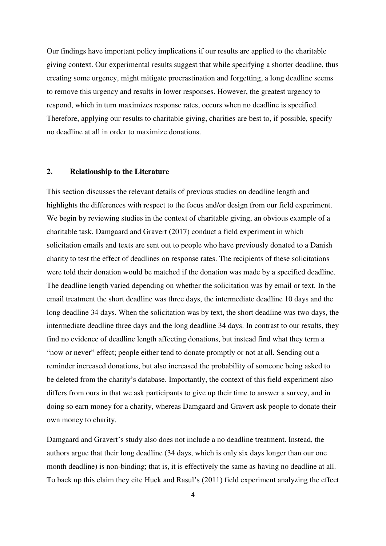Our findings have important policy implications if our results are applied to the charitable giving context. Our experimental results suggest that while specifying a shorter deadline, thus creating some urgency, might mitigate procrastination and forgetting, a long deadline seems to remove this urgency and results in lower responses. However, the greatest urgency to respond, which in turn maximizes response rates, occurs when no deadline is specified. Therefore, applying our results to charitable giving, charities are best to, if possible, specify no deadline at all in order to maximize donations.

#### **2. Relationship to the Literature**

This section discusses the relevant details of previous studies on deadline length and highlights the differences with respect to the focus and/or design from our field experiment. We begin by reviewing studies in the context of charitable giving, an obvious example of a charitable task. Damgaard and Gravert (2017) conduct a field experiment in which solicitation emails and texts are sent out to people who have previously donated to a Danish charity to test the effect of deadlines on response rates. The recipients of these solicitations were told their donation would be matched if the donation was made by a specified deadline. The deadline length varied depending on whether the solicitation was by email or text. In the email treatment the short deadline was three days, the intermediate deadline 10 days and the long deadline 34 days. When the solicitation was by text, the short deadline was two days, the intermediate deadline three days and the long deadline 34 days. In contrast to our results, they find no evidence of deadline length affecting donations, but instead find what they term a "now or never" effect; people either tend to donate promptly or not at all. Sending out a reminder increased donations, but also increased the probability of someone being asked to be deleted from the charity's database. Importantly, the context of this field experiment also differs from ours in that we ask participants to give up their time to answer a survey, and in doing so earn money for a charity, whereas Damgaard and Gravert ask people to donate their own money to charity.

Damgaard and Gravert's study also does not include a no deadline treatment. Instead, the authors argue that their long deadline (34 days, which is only six days longer than our one month deadline) is non-binding; that is, it is effectively the same as having no deadline at all. To back up this claim they cite Huck and Rasul's (2011) field experiment analyzing the effect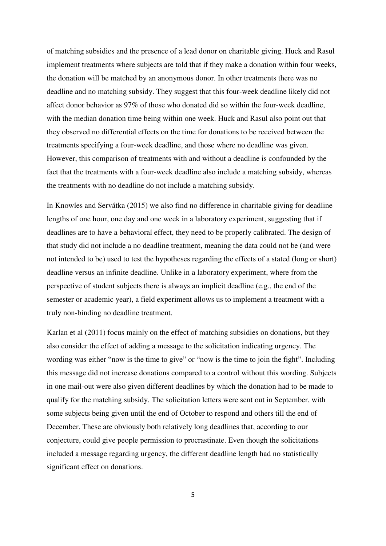of matching subsidies and the presence of a lead donor on charitable giving. Huck and Rasul implement treatments where subjects are told that if they make a donation within four weeks, the donation will be matched by an anonymous donor. In other treatments there was no deadline and no matching subsidy. They suggest that this four-week deadline likely did not affect donor behavior as 97% of those who donated did so within the four-week deadline, with the median donation time being within one week. Huck and Rasul also point out that they observed no differential effects on the time for donations to be received between the treatments specifying a four-week deadline, and those where no deadline was given. However, this comparison of treatments with and without a deadline is confounded by the fact that the treatments with a four-week deadline also include a matching subsidy, whereas the treatments with no deadline do not include a matching subsidy.

In Knowles and Servátka (2015) we also find no difference in charitable giving for deadline lengths of one hour, one day and one week in a laboratory experiment, suggesting that if deadlines are to have a behavioral effect, they need to be properly calibrated. The design of that study did not include a no deadline treatment, meaning the data could not be (and were not intended to be) used to test the hypotheses regarding the effects of a stated (long or short) deadline versus an infinite deadline. Unlike in a laboratory experiment, where from the perspective of student subjects there is always an implicit deadline (e.g., the end of the semester or academic year), a field experiment allows us to implement a treatment with a truly non-binding no deadline treatment.

Karlan et al (2011) focus mainly on the effect of matching subsidies on donations, but they also consider the effect of adding a message to the solicitation indicating urgency. The wording was either "now is the time to give" or "now is the time to join the fight". Including this message did not increase donations compared to a control without this wording. Subjects in one mail-out were also given different deadlines by which the donation had to be made to qualify for the matching subsidy. The solicitation letters were sent out in September, with some subjects being given until the end of October to respond and others till the end of December. These are obviously both relatively long deadlines that, according to our conjecture, could give people permission to procrastinate. Even though the solicitations included a message regarding urgency, the different deadline length had no statistically significant effect on donations.

5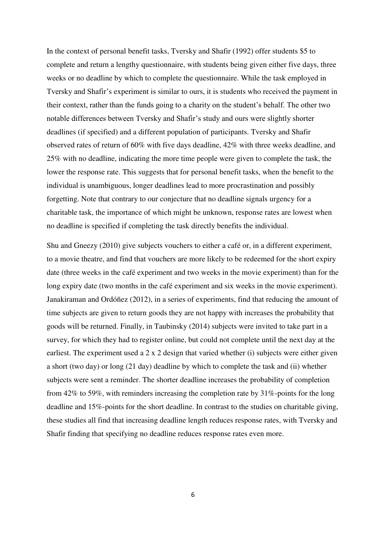In the context of personal benefit tasks, Tversky and Shafir (1992) offer students \$5 to complete and return a lengthy questionnaire, with students being given either five days, three weeks or no deadline by which to complete the questionnaire. While the task employed in Tversky and Shafir's experiment is similar to ours, it is students who received the payment in their context, rather than the funds going to a charity on the student's behalf. The other two notable differences between Tversky and Shafir's study and ours were slightly shorter deadlines (if specified) and a different population of participants. Tversky and Shafir observed rates of return of 60% with five days deadline, 42% with three weeks deadline, and 25% with no deadline, indicating the more time people were given to complete the task, the lower the response rate. This suggests that for personal benefit tasks, when the benefit to the individual is unambiguous, longer deadlines lead to more procrastination and possibly forgetting. Note that contrary to our conjecture that no deadline signals urgency for a charitable task, the importance of which might be unknown, response rates are lowest when no deadline is specified if completing the task directly benefits the individual.

Shu and Gneezy (2010) give subjects vouchers to either a café or, in a different experiment, to a movie theatre, and find that vouchers are more likely to be redeemed for the short expiry date (three weeks in the café experiment and two weeks in the movie experiment) than for the long expiry date (two months in the café experiment and six weeks in the movie experiment). Janakiraman and Ordóñez (2012), in a series of experiments, find that reducing the amount of time subjects are given to return goods they are not happy with increases the probability that goods will be returned. Finally, in Taubinsky (2014) subjects were invited to take part in a survey, for which they had to register online, but could not complete until the next day at the earliest. The experiment used a 2 x 2 design that varied whether (i) subjects were either given a short (two day) or long (21 day) deadline by which to complete the task and (ii) whether subjects were sent a reminder. The shorter deadline increases the probability of completion from 42% to 59%, with reminders increasing the completion rate by 31%-points for the long deadline and 15%-points for the short deadline. In contrast to the studies on charitable giving, these studies all find that increasing deadline length reduces response rates, with Tversky and Shafir finding that specifying no deadline reduces response rates even more.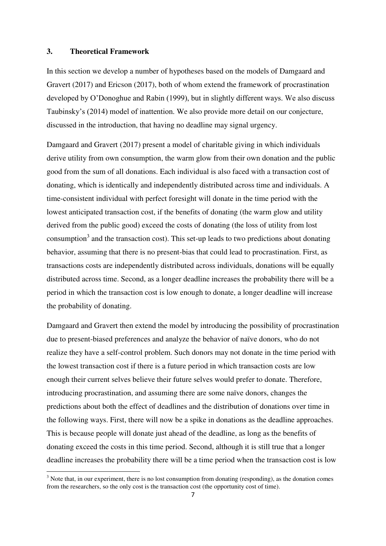#### **3. Theoretical Framework**

 $\overline{a}$ 

In this section we develop a number of hypotheses based on the models of Damgaard and Gravert (2017) and Ericson (2017), both of whom extend the framework of procrastination developed by O'Donoghue and Rabin (1999), but in slightly different ways. We also discuss Taubinsky's (2014) model of inattention. We also provide more detail on our conjecture, discussed in the introduction, that having no deadline may signal urgency.

Damgaard and Gravert (2017) present a model of charitable giving in which individuals derive utility from own consumption, the warm glow from their own donation and the public good from the sum of all donations. Each individual is also faced with a transaction cost of donating, which is identically and independently distributed across time and individuals. A time-consistent individual with perfect foresight will donate in the time period with the lowest anticipated transaction cost, if the benefits of donating (the warm glow and utility derived from the public good) exceed the costs of donating (the loss of utility from lost consumption<sup>3</sup> and the transaction cost). This set-up leads to two predictions about donating behavior, assuming that there is no present-bias that could lead to procrastination. First, as transactions costs are independently distributed across individuals, donations will be equally distributed across time. Second, as a longer deadline increases the probability there will be a period in which the transaction cost is low enough to donate, a longer deadline will increase the probability of donating.

Damgaard and Gravert then extend the model by introducing the possibility of procrastination due to present-biased preferences and analyze the behavior of naïve donors, who do not realize they have a self-control problem. Such donors may not donate in the time period with the lowest transaction cost if there is a future period in which transaction costs are low enough their current selves believe their future selves would prefer to donate. Therefore, introducing procrastination, and assuming there are some naïve donors, changes the predictions about both the effect of deadlines and the distribution of donations over time in the following ways. First, there will now be a spike in donations as the deadline approaches. This is because people will donate just ahead of the deadline, as long as the benefits of donating exceed the costs in this time period. Second, although it is still true that a longer deadline increases the probability there will be a time period when the transaction cost is low

 $3$  Note that, in our experiment, there is no lost consumption from donating (responding), as the donation comes from the researchers, so the only cost is the transaction cost (the opportunity cost of time).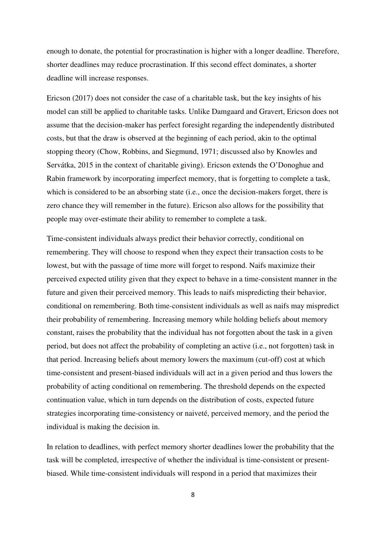enough to donate, the potential for procrastination is higher with a longer deadline. Therefore, shorter deadlines may reduce procrastination. If this second effect dominates, a shorter deadline will increase responses.

Ericson (2017) does not consider the case of a charitable task, but the key insights of his model can still be applied to charitable tasks. Unlike Damgaard and Gravert, Ericson does not assume that the decision-maker has perfect foresight regarding the independently distributed costs, but that the draw is observed at the beginning of each period, akin to the optimal stopping theory (Chow, Robbins, and Siegmund, 1971; discussed also by Knowles and Servátka, 2015 in the context of charitable giving). Ericson extends the O'Donoghue and Rabin framework by incorporating imperfect memory, that is forgetting to complete a task, which is considered to be an absorbing state (i.e., once the decision-makers forget, there is zero chance they will remember in the future). Ericson also allows for the possibility that people may over-estimate their ability to remember to complete a task.

Time-consistent individuals always predict their behavior correctly, conditional on remembering. They will choose to respond when they expect their transaction costs to be lowest, but with the passage of time more will forget to respond. Naifs maximize their perceived expected utility given that they expect to behave in a time-consistent manner in the future and given their perceived memory. This leads to naifs mispredicting their behavior, conditional on remembering. Both time-consistent individuals as well as naifs may mispredict their probability of remembering. Increasing memory while holding beliefs about memory constant, raises the probability that the individual has not forgotten about the task in a given period, but does not affect the probability of completing an active (i.e., not forgotten) task in that period. Increasing beliefs about memory lowers the maximum (cut-off) cost at which time-consistent and present-biased individuals will act in a given period and thus lowers the probability of acting conditional on remembering. The threshold depends on the expected continuation value, which in turn depends on the distribution of costs, expected future strategies incorporating time-consistency or naiveté, perceived memory, and the period the individual is making the decision in.

In relation to deadlines, with perfect memory shorter deadlines lower the probability that the task will be completed, irrespective of whether the individual is time-consistent or presentbiased. While time-consistent individuals will respond in a period that maximizes their

8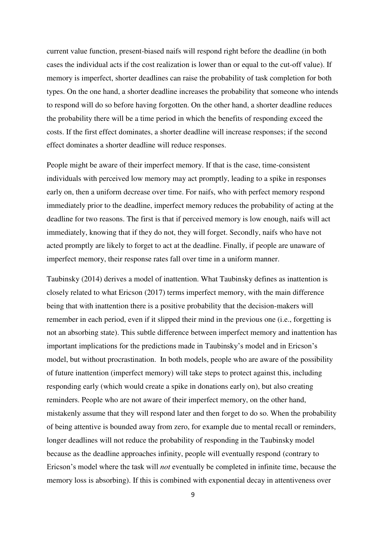current value function, present-biased naifs will respond right before the deadline (in both cases the individual acts if the cost realization is lower than or equal to the cut-off value). If memory is imperfect, shorter deadlines can raise the probability of task completion for both types. On the one hand, a shorter deadline increases the probability that someone who intends to respond will do so before having forgotten. On the other hand, a shorter deadline reduces the probability there will be a time period in which the benefits of responding exceed the costs. If the first effect dominates, a shorter deadline will increase responses; if the second effect dominates a shorter deadline will reduce responses.

People might be aware of their imperfect memory. If that is the case, time-consistent individuals with perceived low memory may act promptly, leading to a spike in responses early on, then a uniform decrease over time. For naifs, who with perfect memory respond immediately prior to the deadline, imperfect memory reduces the probability of acting at the deadline for two reasons. The first is that if perceived memory is low enough, naifs will act immediately, knowing that if they do not, they will forget. Secondly, naifs who have not acted promptly are likely to forget to act at the deadline. Finally, if people are unaware of imperfect memory, their response rates fall over time in a uniform manner.

Taubinsky (2014) derives a model of inattention. What Taubinsky defines as inattention is closely related to what Ericson (2017) terms imperfect memory, with the main difference being that with inattention there is a positive probability that the decision-makers will remember in each period, even if it slipped their mind in the previous one (i.e., forgetting is not an absorbing state). This subtle difference between imperfect memory and inattention has important implications for the predictions made in Taubinsky's model and in Ericson's model, but without procrastination. In both models, people who are aware of the possibility of future inattention (imperfect memory) will take steps to protect against this, including responding early (which would create a spike in donations early on), but also creating reminders. People who are not aware of their imperfect memory, on the other hand, mistakenly assume that they will respond later and then forget to do so. When the probability of being attentive is bounded away from zero, for example due to mental recall or reminders, longer deadlines will not reduce the probability of responding in the Taubinsky model because as the deadline approaches infinity, people will eventually respond (contrary to Ericson's model where the task will *not* eventually be completed in infinite time, because the memory loss is absorbing). If this is combined with exponential decay in attentiveness over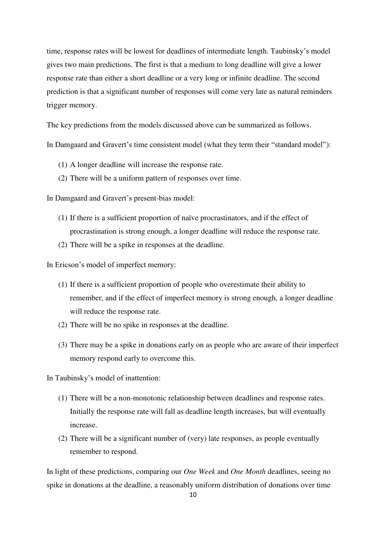time, response rates will be lowest for deadlines of intermediate length. Taubinsky's model gives two main predictions. The first is that a medium to long deadline will give a lower response rate than either a short deadline or a very long or infinite deadline. The second prediction is that a significant number of responses will come very late as natural reminders trigger memory.

The key predictions from the models discussed above can be summarized as follows.

In Damgaard and Gravert's time consistent model (what they term their "standard model"):

- (1) A longer deadline will increase the response rate.
- (2) There will be a uniform pattern of responses over time.

In Damgaard and Gravert's present-bias model:

- (1) If there is a sufficient proportion of naïve procrastinators, and if the effect of procrastination is strong enough, a longer deadline will reduce the response rate.
- (2) There will be a spike in responses at the deadline.

In Ericson's model of imperfect memory:

- (1) If there is a sufficient proportion of people who overestimate their ability to remember, and if the effect of imperfect memory is strong enough, a longer deadline will reduce the response rate.
- (2) There will be no spike in responses at the deadline.
- (3) There may be a spike in donations early on as people who are aware of their imperfect memory respond early to overcome this.

In Taubinsky's model of inattention:

- (1) There will be a non-monotonic relationship between deadlines and response rates. Initially the response rate will fall as deadline length increases, but will eventually increase.
- (2) There will be a significant number of (very) late responses, as people eventually remember to respond.

In light of these predictions, comparing our *One Week* and *One Month* deadlines, seeing no spike in donations at the deadline, a reasonably uniform distribution of donations over time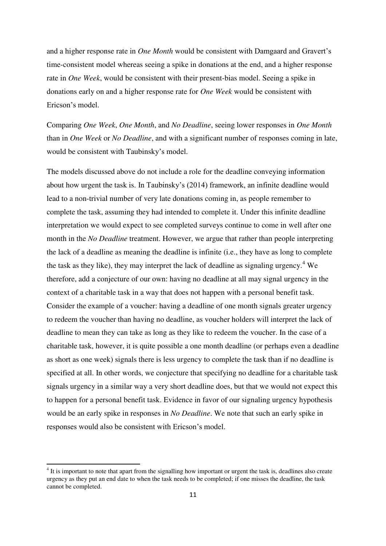and a higher response rate in *One Month* would be consistent with Damgaard and Gravert's time-consistent model whereas seeing a spike in donations at the end, and a higher response rate in *One Week*, would be consistent with their present-bias model. Seeing a spike in donations early on and a higher response rate for *One Week* would be consistent with Ericson's model.

Comparing *One Week*, *One Month*, and *No Deadline*, seeing lower responses in *One Month* than in *One Week* or *No Deadline*, and with a significant number of responses coming in late, would be consistent with Taubinsky's model.

The models discussed above do not include a role for the deadline conveying information about how urgent the task is. In Taubinsky's (2014) framework, an infinite deadline would lead to a non-trivial number of very late donations coming in, as people remember to complete the task, assuming they had intended to complete it. Under this infinite deadline interpretation we would expect to see completed surveys continue to come in well after one month in the *No Deadline* treatment. However, we argue that rather than people interpreting the lack of a deadline as meaning the deadline is infinite (i.e., they have as long to complete the task as they like), they may interpret the lack of deadline as signaling urgency. $4$  We therefore, add a conjecture of our own: having no deadline at all may signal urgency in the context of a charitable task in a way that does not happen with a personal benefit task. Consider the example of a voucher: having a deadline of one month signals greater urgency to redeem the voucher than having no deadline, as voucher holders will interpret the lack of deadline to mean they can take as long as they like to redeem the voucher. In the case of a charitable task, however, it is quite possible a one month deadline (or perhaps even a deadline as short as one week) signals there is less urgency to complete the task than if no deadline is specified at all. In other words, we conjecture that specifying no deadline for a charitable task signals urgency in a similar way a very short deadline does, but that we would not expect this to happen for a personal benefit task. Evidence in favor of our signaling urgency hypothesis would be an early spike in responses in *No Deadline*. We note that such an early spike in responses would also be consistent with Ericson's model.

<sup>&</sup>lt;sup>4</sup> It is important to note that apart from the signalling how important or urgent the task is, deadlines also create urgency as they put an end date to when the task needs to be completed; if one misses the deadline, the task cannot be completed.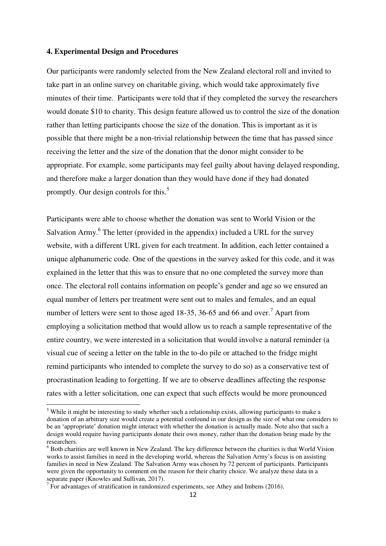#### **4. Experimental Design and Procedures**

Our participants were randomly selected from the New Zealand electoral roll and invited to take part in an online survey on charitable giving, which would take approximately five minutes of their time. Participants were told that if they completed the survey the researchers would donate \$10 to charity. This design feature allowed us to control the size of the donation rather than letting participants choose the size of the donation. This is important as it is possible that there might be a non-trivial relationship between the time that has passed since receiving the letter and the size of the donation that the donor might consider to be appropriate. For example, some participants may feel guilty about having delayed responding, and therefore make a larger donation than they would have done if they had donated promptly. Our design controls for this.<sup>5</sup>

Participants were able to choose whether the donation was sent to World Vision or the Salvation Army.<sup>6</sup> The letter (provided in the appendix) included a URL for the survey website, with a different URL given for each treatment. In addition, each letter contained a unique alphanumeric code. One of the questions in the survey asked for this code, and it was explained in the letter that this was to ensure that no one completed the survey more than once. The electoral roll contains information on people's gender and age so we ensured an equal number of letters per treatment were sent out to males and females, and an equal number of letters were sent to those aged 18-35, 36-65 and 66 and over.<sup>7</sup> Apart from employing a solicitation method that would allow us to reach a sample representative of the entire country, we were interested in a solicitation that would involve a natural reminder (a visual cue of seeing a letter on the table in the to-do pile or attached to the fridge might remind participants who intended to complete the survey to do so) as a conservative test of procrastination leading to forgetting. If we are to observe deadlines affecting the response rates with a letter solicitation, one can expect that such effects would be more pronounced

<sup>&</sup>lt;sup>5</sup> While it might be interesting to study whether such a relationship exists, allowing participants to make a donation of an arbitrary size would create a potential confound in our design as the size of what one considers to be an 'appropriate' donation might interact with whether the donation is actually made. Note also that such a design would require having participants donate their own money, rather than the donation being made by the researchers.

<sup>&</sup>lt;sup>6</sup> Both charities are well known in New Zealand. The key difference between the charities is that World Vision works to assist families in need in the developing world, whereas the Salvation Army's focus is on assisting families in need in New Zealand. The Salvation Army was chosen by 72 percent of participants. Participants were given the opportunity to comment on the reason for their charity choice. We analyze these data in a separate paper (Knowles and Sullivan, 2017).

 $7$  For advantages of stratification in randomized experiments, see Athey and Imbens (2016).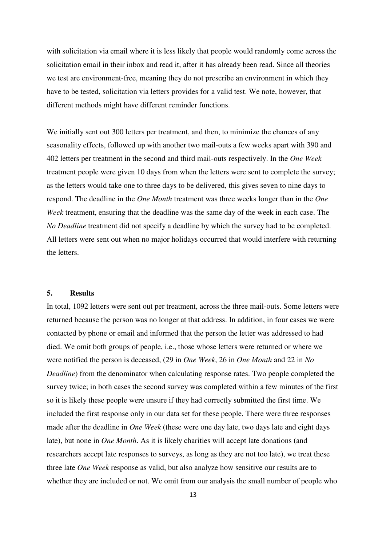with solicitation via email where it is less likely that people would randomly come across the solicitation email in their inbox and read it, after it has already been read. Since all theories we test are environment-free, meaning they do not prescribe an environment in which they have to be tested, solicitation via letters provides for a valid test. We note, however, that different methods might have different reminder functions.

We initially sent out 300 letters per treatment, and then, to minimize the chances of any seasonality effects, followed up with another two mail-outs a few weeks apart with 390 and 402 letters per treatment in the second and third mail-outs respectively. In the *One Week* treatment people were given 10 days from when the letters were sent to complete the survey; as the letters would take one to three days to be delivered, this gives seven to nine days to respond. The deadline in the *One Month* treatment was three weeks longer than in the *One Week* treatment, ensuring that the deadline was the same day of the week in each case. The *No Deadline* treatment did not specify a deadline by which the survey had to be completed. All letters were sent out when no major holidays occurred that would interfere with returning the letters.

#### **5. Results**

In total, 1092 letters were sent out per treatment, across the three mail-outs. Some letters were returned because the person was no longer at that address. In addition, in four cases we were contacted by phone or email and informed that the person the letter was addressed to had died. We omit both groups of people, i.e., those whose letters were returned or where we were notified the person is deceased, (29 in *One Week*, 26 in *One Month* and 22 in *No Deadline*) from the denominator when calculating response rates. Two people completed the survey twice; in both cases the second survey was completed within a few minutes of the first so it is likely these people were unsure if they had correctly submitted the first time. We included the first response only in our data set for these people. There were three responses made after the deadline in *One Week* (these were one day late, two days late and eight days late), but none in *One Month*. As it is likely charities will accept late donations (and researchers accept late responses to surveys, as long as they are not too late), we treat these three late *One Week* response as valid, but also analyze how sensitive our results are to whether they are included or not. We omit from our analysis the small number of people who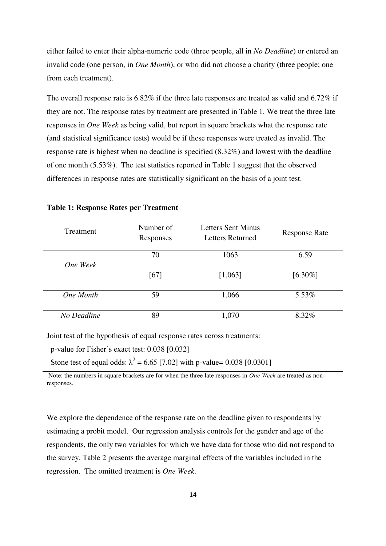either failed to enter their alpha-numeric code (three people, all in *No Deadline*) or entered an invalid code (one person, in *One Month*), or who did not choose a charity (three people; one from each treatment).

The overall response rate is 6.82% if the three late responses are treated as valid and 6.72% if they are not. The response rates by treatment are presented in Table 1. We treat the three late responses in *One Week* as being valid, but report in square brackets what the response rate (and statistical significance tests) would be if these responses were treated as invalid. The response rate is highest when no deadline is specified (8.32%) and lowest with the deadline of one month (5.53%). The test statistics reported in Table 1 suggest that the observed differences in response rates are statistically significant on the basis of a joint test.

| <b>Treatment</b> | Number of<br>Responses | Letters Sent Minus<br><b>Letters Returned</b> | <b>Response Rate</b> |
|------------------|------------------------|-----------------------------------------------|----------------------|
| One Week         | 70                     | 1063                                          | 6.59                 |
|                  | [67]                   | [1,063]                                       | $[6.30\%]$           |
| One Month        | 59                     | 1,066                                         | 5.53%                |
| No Deadline      | 89                     | 1,070                                         | 8.32%                |

**Table 1: Response Rates per Treatment**

Joint test of the hypothesis of equal response rates across treatments:

p-value for Fisher's exact test: 0.038 [0.032]

Stone test of equal odds:  $\lambda^2 = 6.65$  [7.02] with p-value= 0.038 [0.0301]

 Note: the numbers in square brackets are for when the three late responses in *One Week* are treated as nonresponses.

We explore the dependence of the response rate on the deadline given to respondents by estimating a probit model. Our regression analysis controls for the gender and age of the respondents, the only two variables for which we have data for those who did not respond to the survey. Table 2 presents the average marginal effects of the variables included in the regression. The omitted treatment is *One Week*.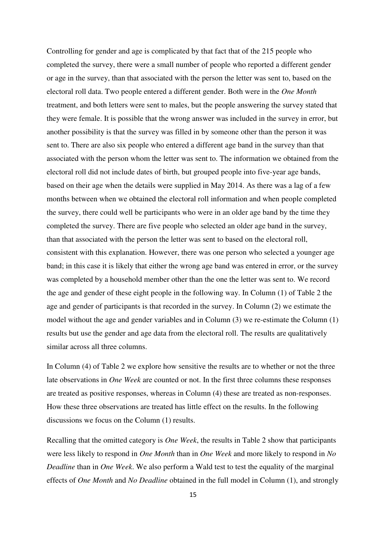Controlling for gender and age is complicated by that fact that of the 215 people who completed the survey, there were a small number of people who reported a different gender or age in the survey, than that associated with the person the letter was sent to, based on the electoral roll data. Two people entered a different gender. Both were in the *One Month* treatment, and both letters were sent to males, but the people answering the survey stated that they were female. It is possible that the wrong answer was included in the survey in error, but another possibility is that the survey was filled in by someone other than the person it was sent to. There are also six people who entered a different age band in the survey than that associated with the person whom the letter was sent to. The information we obtained from the electoral roll did not include dates of birth, but grouped people into five-year age bands, based on their age when the details were supplied in May 2014. As there was a lag of a few months between when we obtained the electoral roll information and when people completed the survey, there could well be participants who were in an older age band by the time they completed the survey. There are five people who selected an older age band in the survey, than that associated with the person the letter was sent to based on the electoral roll, consistent with this explanation. However, there was one person who selected a younger age band; in this case it is likely that either the wrong age band was entered in error, or the survey was completed by a household member other than the one the letter was sent to. We record the age and gender of these eight people in the following way. In Column (1) of Table 2 the age and gender of participants is that recorded in the survey. In Column (2) we estimate the model without the age and gender variables and in Column (3) we re-estimate the Column (1) results but use the gender and age data from the electoral roll. The results are qualitatively similar across all three columns.

In Column (4) of Table 2 we explore how sensitive the results are to whether or not the three late observations in *One Week* are counted or not. In the first three columns these responses are treated as positive responses, whereas in Column (4) these are treated as non-responses. How these three observations are treated has little effect on the results. In the following discussions we focus on the Column (1) results.

Recalling that the omitted category is *One Week*, the results in Table 2 show that participants were less likely to respond in *One Month* than in *One Week* and more likely to respond in *No Deadline* than in *One Week*. We also perform a Wald test to test the equality of the marginal effects of *One Month* and *No Deadline* obtained in the full model in Column (1), and strongly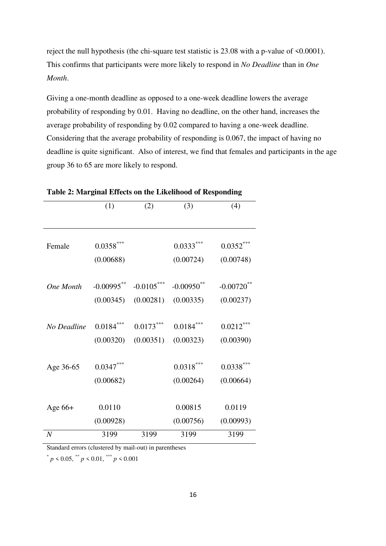reject the null hypothesis (the chi-square test statistic is 23.08 with a p-value of <0.0001). This confirms that participants were more likely to respond in *No Deadline* than in *One Month*.

Giving a one-month deadline as opposed to a one-week deadline lowers the average probability of responding by 0.01. Having no deadline, on the other hand, increases the average probability of responding by 0.02 compared to having a one-week deadline. Considering that the average probability of responding is 0.067, the impact of having no deadline is quite significant. Also of interest, we find that females and participants in the age group 36 to 65 are more likely to respond.

|                  | (1)           | (2)          | (3)           | (4)           |
|------------------|---------------|--------------|---------------|---------------|
|                  |               |              |               |               |
|                  |               |              |               |               |
| Female           | $0.0358***$   |              | $0.0333***$   | $0.0352***$   |
|                  | (0.00688)     |              | (0.00724)     | (0.00748)     |
|                  |               |              |               |               |
| <b>One Month</b> | $-0.00995$ ** | $-0.0105***$ | $-0.00950$ ** | $-0.00720$ ** |
|                  | (0.00345)     | (0.00281)    | (0.00335)     | (0.00237)     |
|                  |               |              |               |               |
| No Deadline      | $0.0184***$   | $0.0173***$  | $0.0184***$   | $0.0212***$   |
|                  | (0.00320)     | (0.00351)    | (0.00323)     | (0.00390)     |
|                  |               |              |               |               |
| Age 36-65        | $0.0347***$   |              | $0.0318***$   | $0.0338***$   |
|                  | (0.00682)     |              | (0.00264)     | (0.00664)     |
|                  |               |              |               |               |
| Age $66+$        | 0.0110        |              | 0.00815       | 0.0119        |
|                  | (0.00928)     |              | (0.00756)     | (0.00993)     |
| $\overline{N}$   | 3199          | 3199         | 3199          | 3199          |
|                  |               |              |               |               |

**Table 2: Marginal Effects on the Likelihood of Responding**

Standard errors (clustered by mail-out) in parentheses

 $p < 0.05$ ,  $\binom{**}{p} < 0.01$ ,  $\binom{***}{p} < 0.001$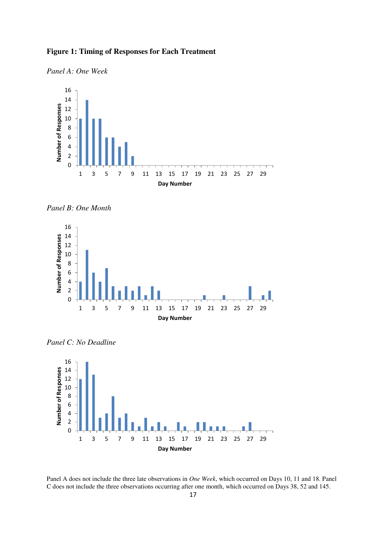









*Panel C: No Deadline* 



Panel A does not include the three late observations in *One Week*, which occurred on Days 10, 11 and 18. Panel C does not include the three observations occurring after one month, which occurred on Days 38, 52 and 145.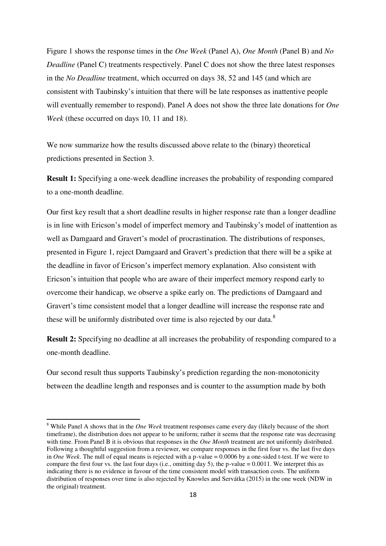Figure 1 shows the response times in the *One Week* (Panel A), *One Month* (Panel B) and *No Deadline* (Panel C) treatments respectively. Panel C does not show the three latest responses in the *No Deadline* treatment, which occurred on days 38, 52 and 145 (and which are consistent with Taubinsky's intuition that there will be late responses as inattentive people will eventually remember to respond). Panel A does not show the three late donations for *One Week* (these occurred on days 10, 11 and 18).

We now summarize how the results discussed above relate to the (binary) theoretical predictions presented in Section 3.

**Result 1:** Specifying a one-week deadline increases the probability of responding compared to a one-month deadline.

Our first key result that a short deadline results in higher response rate than a longer deadline is in line with Ericson's model of imperfect memory and Taubinsky's model of inattention as well as Damgaard and Gravert's model of procrastination. The distributions of responses, presented in Figure 1, reject Damgaard and Gravert's prediction that there will be a spike at the deadline in favor of Ericson's imperfect memory explanation. Also consistent with Ericson's intuition that people who are aware of their imperfect memory respond early to overcome their handicap, we observe a spike early on. The predictions of Damgaard and Gravert's time consistent model that a longer deadline will increase the response rate and these will be uniformly distributed over time is also rejected by our data.<sup>8</sup>

**Result 2:** Specifying no deadline at all increases the probability of responding compared to a one-month deadline.

Our second result thus supports Taubinsky's prediction regarding the non-monotonicity between the deadline length and responses and is counter to the assumption made by both

<sup>8</sup> While Panel A shows that in the *One Week* treatment responses came every day (likely because of the short timeframe), the distribution does not appear to be uniform; rather it seems that the response rate was decreasing with time. From Panel B it is obvious that responses in the *One Month* treatment are not uniformly distributed. Following a thoughtful suggestion from a reviewer, we compare responses in the first four vs. the last five days in *One Week*. The null of equal means is rejected with a p-value = 0.0006 by a one-sided t-test. If we were to compare the first four vs. the last four days (i.e., omitting day 5), the p-value  $= 0.0011$ . We interpret this as indicating there is no evidence in favour of the time consistent model with transaction costs. The uniform distribution of responses over time is also rejected by Knowles and Servátka (2015) in the one week (NDW in the original) treatment.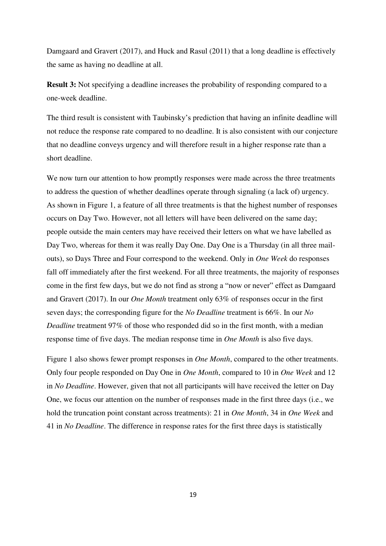Damgaard and Gravert (2017), and Huck and Rasul (2011) that a long deadline is effectively the same as having no deadline at all.

**Result 3:** Not specifying a deadline increases the probability of responding compared to a one-week deadline.

The third result is consistent with Taubinsky's prediction that having an infinite deadline will not reduce the response rate compared to no deadline. It is also consistent with our conjecture that no deadline conveys urgency and will therefore result in a higher response rate than a short deadline.

We now turn our attention to how promptly responses were made across the three treatments to address the question of whether deadlines operate through signaling (a lack of) urgency. As shown in Figure 1, a feature of all three treatments is that the highest number of responses occurs on Day Two. However, not all letters will have been delivered on the same day; people outside the main centers may have received their letters on what we have labelled as Day Two, whereas for them it was really Day One. Day One is a Thursday (in all three mailouts), so Days Three and Four correspond to the weekend. Only in *One Week* do responses fall off immediately after the first weekend. For all three treatments, the majority of responses come in the first few days, but we do not find as strong a "now or never" effect as Damgaard and Gravert (2017). In our *One Month* treatment only 63% of responses occur in the first seven days; the corresponding figure for the *No Deadline* treatment is 66%. In our *No Deadline* treatment 97% of those who responded did so in the first month, with a median response time of five days. The median response time in *One Month* is also five days.

Figure 1 also shows fewer prompt responses in *One Month*, compared to the other treatments. Only four people responded on Day One in *One Month*, compared to 10 in *One Week* and 12 in *No Deadline*. However, given that not all participants will have received the letter on Day One, we focus our attention on the number of responses made in the first three days (i.e., we hold the truncation point constant across treatments): 21 in *One Month*, 34 in *One Week* and 41 in *No Deadline*. The difference in response rates for the first three days is statistically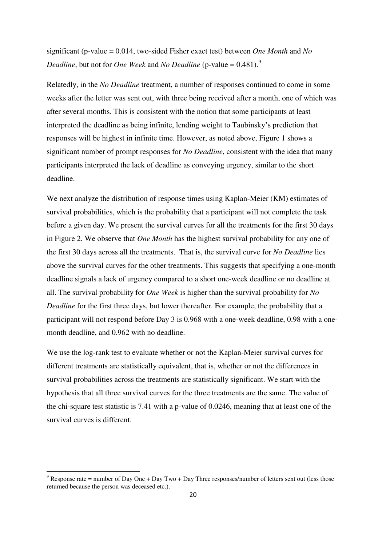significant (p-value = 0.014, two-sided Fisher exact test) between *One Month* and *No Deadline*, but not for *One Week* and *No Deadline* (p-value = 0.481).<sup>9</sup>

Relatedly, in the *No Deadline* treatment, a number of responses continued to come in some weeks after the letter was sent out, with three being received after a month, one of which was after several months. This is consistent with the notion that some participants at least interpreted the deadline as being infinite, lending weight to Taubinsky's prediction that responses will be highest in infinite time. However, as noted above, Figure 1 shows a significant number of prompt responses for *No Deadline*, consistent with the idea that many participants interpreted the lack of deadline as conveying urgency, similar to the short deadline.

We next analyze the distribution of response times using Kaplan-Meier (KM) estimates of survival probabilities, which is the probability that a participant will not complete the task before a given day. We present the survival curves for all the treatments for the first 30 days in Figure 2. We observe that *One Month* has the highest survival probability for any one of the first 30 days across all the treatments. That is, the survival curve for *No Deadline* lies above the survival curves for the other treatments. This suggests that specifying a one-month deadline signals a lack of urgency compared to a short one-week deadline or no deadline at all. The survival probability for *One Week* is higher than the survival probability for *No Deadline* for the first three days, but lower thereafter. For example, the probability that a participant will not respond before Day 3 is 0.968 with a one-week deadline, 0.98 with a onemonth deadline, and 0.962 with no deadline.

We use the log-rank test to evaluate whether or not the Kaplan-Meier survival curves for different treatments are statistically equivalent, that is, whether or not the differences in survival probabilities across the treatments are statistically significant. We start with the hypothesis that all three survival curves for the three treatments are the same. The value of the chi-square test statistic is 7.41 with a p-value of 0.0246, meaning that at least one of the survival curves is different.

<sup>&</sup>lt;sup>9</sup> Response rate = number of Day One + Day Two + Day Three responses/number of letters sent out (less those returned because the person was deceased etc.).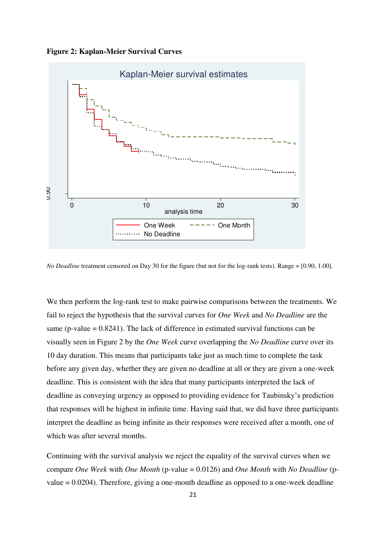**Figure 2: Kaplan-Meier Survival Curves** 



*No Deadline* treatment censored on Day 30 for the figure (but not for the log-rank tests). Range = [0.90, 1.00].

We then perform the log-rank test to make pairwise comparisons between the treatments. We fail to reject the hypothesis that the survival curves for *One Week* and *No Deadline* are the same ( $p$ -value = 0.8241). The lack of difference in estimated survival functions can be visually seen in Figure 2 by the *One Week* curve overlapping the *No Deadline* curve over its 10 day duration. This means that participants take just as much time to complete the task before any given day, whether they are given no deadline at all or they are given a one-week deadline. This is consistent with the idea that many participants interpreted the lack of deadline as conveying urgency as opposed to providing evidence for Taubinsky's prediction that responses will be highest in infinite time. Having said that, we did have three participants interpret the deadline as being infinite as their responses were received after a month, one of which was after several months. value of the statement value of the statement consideration of the statement consideration of No Deadline  $N\omega$  Deadline treatment censored on Day 30 for the figure (but not for the log-rank tests). Range = [0.90, 1.00].<br>

Continuing with the survival analysis we reject the equality of the survival curves when we compare *One Week* with *One Month* (p-value = 0.0126) and *One Month* with *No Deadline* (p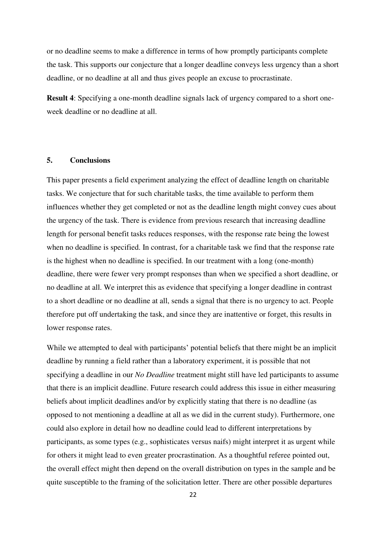or no deadline seems to make a difference in terms of how promptly participants complete the task. This supports our conjecture that a longer deadline conveys less urgency than a short deadline, or no deadline at all and thus gives people an excuse to procrastinate.

**Result 4**: Specifying a one-month deadline signals lack of urgency compared to a short oneweek deadline or no deadline at all.

## **5. Conclusions**

This paper presents a field experiment analyzing the effect of deadline length on charitable tasks. We conjecture that for such charitable tasks, the time available to perform them influences whether they get completed or not as the deadline length might convey cues about the urgency of the task. There is evidence from previous research that increasing deadline length for personal benefit tasks reduces responses, with the response rate being the lowest when no deadline is specified. In contrast, for a charitable task we find that the response rate is the highest when no deadline is specified. In our treatment with a long (one-month) deadline, there were fewer very prompt responses than when we specified a short deadline, or no deadline at all. We interpret this as evidence that specifying a longer deadline in contrast to a short deadline or no deadline at all, sends a signal that there is no urgency to act. People therefore put off undertaking the task, and since they are inattentive or forget, this results in lower response rates.

While we attempted to deal with participants' potential beliefs that there might be an implicit deadline by running a field rather than a laboratory experiment, it is possible that not specifying a deadline in our *No Deadline* treatment might still have led participants to assume that there is an implicit deadline. Future research could address this issue in either measuring beliefs about implicit deadlines and/or by explicitly stating that there is no deadline (as opposed to not mentioning a deadline at all as we did in the current study). Furthermore, one could also explore in detail how no deadline could lead to different interpretations by participants, as some types (e.g., sophisticates versus naifs) might interpret it as urgent while for others it might lead to even greater procrastination. As a thoughtful referee pointed out, the overall effect might then depend on the overall distribution on types in the sample and be quite susceptible to the framing of the solicitation letter. There are other possible departures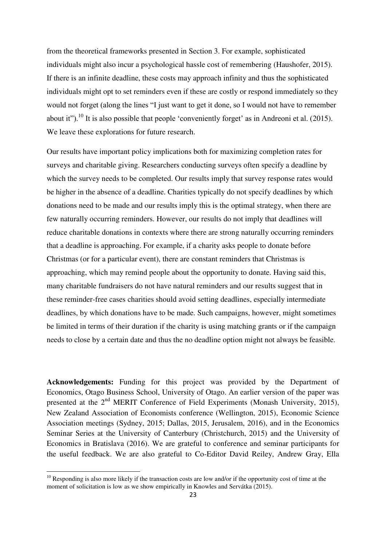from the theoretical frameworks presented in Section 3. For example, sophisticated individuals might also incur a psychological hassle cost of remembering (Haushofer, 2015). If there is an infinite deadline, these costs may approach infinity and thus the sophisticated individuals might opt to set reminders even if these are costly or respond immediately so they would not forget (along the lines "I just want to get it done, so I would not have to remember about it").<sup>10</sup> It is also possible that people 'conveniently forget' as in Andreoni et al. (2015). We leave these explorations for future research.

Our results have important policy implications both for maximizing completion rates for surveys and charitable giving. Researchers conducting surveys often specify a deadline by which the survey needs to be completed. Our results imply that survey response rates would be higher in the absence of a deadline. Charities typically do not specify deadlines by which donations need to be made and our results imply this is the optimal strategy, when there are few naturally occurring reminders. However, our results do not imply that deadlines will reduce charitable donations in contexts where there are strong naturally occurring reminders that a deadline is approaching. For example, if a charity asks people to donate before Christmas (or for a particular event), there are constant reminders that Christmas is approaching, which may remind people about the opportunity to donate. Having said this, many charitable fundraisers do not have natural reminders and our results suggest that in these reminder-free cases charities should avoid setting deadlines, especially intermediate deadlines, by which donations have to be made. Such campaigns, however, might sometimes be limited in terms of their duration if the charity is using matching grants or if the campaign needs to close by a certain date and thus the no deadline option might not always be feasible.

**Acknowledgements:** Funding for this project was provided by the Department of Economics, Otago Business School, University of Otago. An earlier version of the paper was presented at the 2<sup>nd</sup> MERIT Conference of Field Experiments (Monash University, 2015), New Zealand Association of Economists conference (Wellington, 2015), Economic Science Association meetings (Sydney, 2015; Dallas, 2015, Jerusalem, 2016), and in the Economics Seminar Series at the University of Canterbury (Christchurch, 2015) and the University of Economics in Bratislava (2016). We are grateful to conference and seminar participants for the useful feedback. We are also grateful to Co-Editor David Reiley, Andrew Gray, Ella

 $10$  Responding is also more likely if the transaction costs are low and/or if the opportunity cost of time at the moment of solicitation is low as we show empirically in Knowles and Servátka (2015).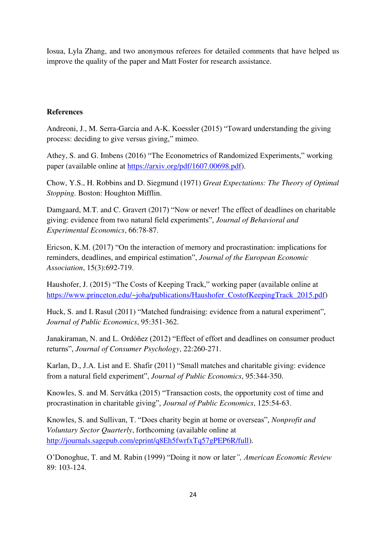Iosua, Lyla Zhang, and two anonymous referees for detailed comments that have helped us improve the quality of the paper and Matt Foster for research assistance.

## **References**

Andreoni, J., M. Serra-Garcia and A-K. Koessler (2015) "Toward understanding the giving process: deciding to give versus giving," mimeo.

Athey, S. and G. Imbens (2016) "The Econometrics of Randomized Experiments," working paper (available online at [https://arxiv.org/pdf/1607.00698.pdf\)](https://arxiv.org/pdf/1607.00698.pdf).

Chow, Y.S., H. Robbins and D. Siegmund (1971) *Great Expectations: The Theory of Optimal Stopping.* Boston: Houghton Mifflin.

Damgaard, M.T. and C. Gravert (2017) "Now or never! The effect of deadlines on charitable giving: evidence from two natural field experiments", *Journal of Behavioral and Experimental Economics*, 66:78-87.

Ericson, K.M. (2017) "On the interaction of memory and procrastination: implications for reminders, deadlines, and empirical estimation", *Journal of the European Economic Association*, 15(3):692-719.

Haushofer, J. (2015) "The Costs of Keeping Track," working paper (available online at [https://www.princeton.edu/~joha/publications/Haushofer\\_CostofKeepingTrack\\_2015.pdf\)](https://www.princeton.edu/~joha/publications/Haushofer_CostofKeepingTrack_2015.pdf)

Huck, S. and I. Rasul (2011) "Matched fundraising: evidence from a natural experiment", *Journal of Public Economics*, 95:351-362.

Janakiraman, N. and L. Ordóñez (2012) "Effect of effort and deadlines on consumer product returns", *Journal of Consumer Psychology*, 22:260-271.

Karlan, D., J.A. List and E. Shafir (2011) "Small matches and charitable giving: evidence from a natural field experiment", *Journal of Public Economics*, 95:344-350.

Knowles, S. and M. Servátka (2015) "Transaction costs, the opportunity cost of time and procrastination in charitable giving", *Journal of Public Economics*, 125:54-63.

Knowles, S. and Sullivan, T. "Does charity begin at home or overseas", *Nonprofit and Voluntary Sector Quarterly*, forthcoming (available online at [http://journals.sagepub.com/eprint/q8Eh5fwrfxTq57gPEP6R/full\)](http://journals.sagepub.com/eprint/q8Eh5fwrfxTq57gPEP6R/full).

O'Donoghue, T. and M. Rabin (1999) "Doing it now or later*", American Economic Review* 89: 103-124.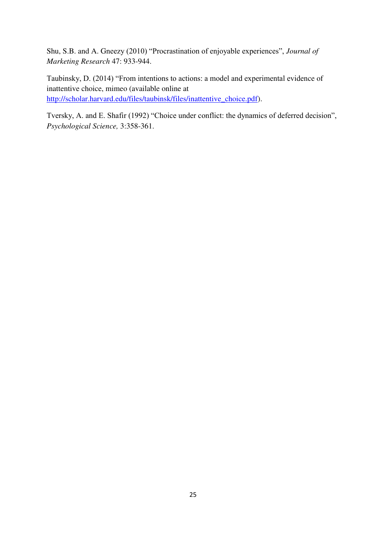Shu, S.B. and A. Gneezy (2010) "Procrastination of enjoyable experiences", *Journal of Marketing Research* 47: 933-944.

Taubinsky, D. (2014) "From intentions to actions: a model and experimental evidence of inattentive choice, mimeo (available online at [http://scholar.harvard.edu/files/taubinsk/files/inattentive\\_choice.pdf\)](http://scholar.harvard.edu/files/taubinsk/files/inattentive_choice.pdf).

Tversky, A. and E. Shafir (1992) "Choice under conflict: the dynamics of deferred decision", *Psychological Science,* 3:358-361.